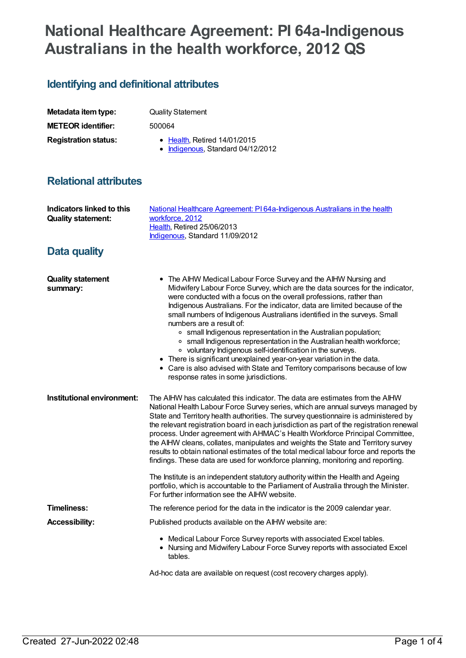# **National Healthcare Agreement: PI 64a-Indigenous Australians in the health workforce, 2012 QS**

## **Identifying and definitional attributes**

| Metadata item type:         | <b>Quality Statement</b> |
|-----------------------------|--------------------------|
| <b>METEOR identifier:</b>   | 500064                   |
| <b>Registration status:</b> | • Health, Retired 14/0   |

**Registration status:** [Health](https://meteor.aihw.gov.au/RegistrationAuthority/12), Retired 14/01/2015 • [Indigenous](https://meteor.aihw.gov.au/RegistrationAuthority/6), Standard 04/12/2012

## **Relational attributes**

| Indicators linked to this<br><b>Quality statement:</b> | National Healthcare Agreement: PI 64a-Indigenous Australians in the health<br>workforce, 2012<br>Health, Retired 25/06/2013<br>Indigenous, Standard 11/09/2012                                                                                                                                                                                                                                                                                                                                                                                                                                                                                                                                                                                                                                                          |
|--------------------------------------------------------|-------------------------------------------------------------------------------------------------------------------------------------------------------------------------------------------------------------------------------------------------------------------------------------------------------------------------------------------------------------------------------------------------------------------------------------------------------------------------------------------------------------------------------------------------------------------------------------------------------------------------------------------------------------------------------------------------------------------------------------------------------------------------------------------------------------------------|
| <b>Data quality</b>                                    |                                                                                                                                                                                                                                                                                                                                                                                                                                                                                                                                                                                                                                                                                                                                                                                                                         |
| <b>Quality statement</b><br>summary:                   | • The AIHW Medical Labour Force Survey and the AIHW Nursing and<br>Midwifery Labour Force Survey, which are the data sources for the indicator,<br>were conducted with a focus on the overall professions, rather than<br>Indigenous Australians. For the indicator, data are limited because of the<br>small numbers of Indigenous Australians identified in the surveys. Small<br>numbers are a result of:<br>• small Indigenous representation in the Australian population;<br>• small Indigenous representation in the Australian health workforce;<br>• voluntary Indigenous self-identification in the surveys.<br>• There is significant unexplained year-on-year variation in the data.<br>• Care is also advised with State and Territory comparisons because of low<br>response rates in some jurisdictions. |
| Institutional environment:                             | The AIHW has calculated this indicator. The data are estimates from the AIHW<br>National Health Labour Force Survey series, which are annual surveys managed by<br>State and Territory health authorities. The survey questionnaire is administered by<br>the relevant registration board in each jurisdiction as part of the registration renewal<br>process. Under agreement with AHMAC's Health Workforce Principal Committee,<br>the AIHW cleans, collates, manipulates and weights the State and Territory survey<br>results to obtain national estimates of the total medical labour force and reports the<br>findings. These data are used for workforce planning, monitoring and reporting.<br>The Institute is an independent statutory authority within the Health and Ageing                                 |
|                                                        | portfolio, which is accountable to the Parliament of Australia through the Minister.<br>For further information see the AIHW website.                                                                                                                                                                                                                                                                                                                                                                                                                                                                                                                                                                                                                                                                                   |
| <b>Timeliness:</b>                                     | The reference period for the data in the indicator is the 2009 calendar year.                                                                                                                                                                                                                                                                                                                                                                                                                                                                                                                                                                                                                                                                                                                                           |
| <b>Accessibility:</b>                                  | Published products available on the AIHW website are:                                                                                                                                                                                                                                                                                                                                                                                                                                                                                                                                                                                                                                                                                                                                                                   |
|                                                        | • Medical Labour Force Survey reports with associated Excel tables.<br>• Nursing and Midwifery Labour Force Survey reports with associated Excel<br>tables.                                                                                                                                                                                                                                                                                                                                                                                                                                                                                                                                                                                                                                                             |
|                                                        | Ad-hoc data are available on request (cost recovery charges apply).                                                                                                                                                                                                                                                                                                                                                                                                                                                                                                                                                                                                                                                                                                                                                     |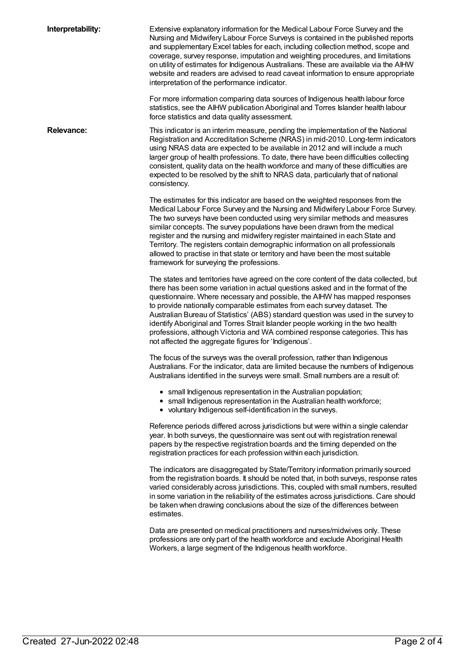**Interpretability:** Extensive explanatory information for the Medical Labour Force Survey and the Nursing and Midwifery Labour Force Surveys is contained in the published reports and supplementary Excel tables for each, including collection method, scope and coverage, survey response, imputation and weighting procedures, and limitations on utility of estimates for Indigenous Australians. These are available via the AIHW website and readers are advised to read caveat information to ensure appropriate interpretation of the performance indicator. For more information comparing data sources of Indigenous health labour force statistics, see the AIHW publication Aboriginal and Torres Islander health labour force statistics and data quality assessment. **Relevance:** This indicator is an interim measure, pending the implementation of the National Registration and Accreditation Scheme (NRAS) in mid-2010. Long-term indicators using NRAS data are expected to be available in 2012 and will include a much larger group of health professions. To date, there have been difficulties collecting consistent, quality data on the health workforce and many of these difficulties are expected to be resolved by the shift to NRAS data, particularly that of national consistency. The estimates for this indicator are based on the weighted responses from the Medical Labour Force Survey and the Nursing and Midwifery Labour Force Survey. The two surveys have been conducted using very similar methods and measures similar concepts. The survey populations have been drawn from the medical register and the nursing and midwifery register maintained in each State and Territory. The registers contain demographic information on all professionals allowed to practise in that state or territory and have been the most suitable framework for surveying the professions. The states and territories have agreed on the core content of the data collected, but there has been some variation in actual questions asked and in the format of the questionnaire. Where necessary and possible, the AIHW has mapped responses to provide nationally comparable estimates from each survey dataset. The Australian Bureau of Statistics' (ABS) standard question was used in the survey to identify Aboriginal and Torres Strait Islander people working in the two health professions, although Victoria and WA combined response categories. This has not affected the aggregate figures for 'Indigenous'. The focus of the surveys was the overall profession, rather than Indigenous Australians. For the indicator, data are limited because the numbers of Indigenous Australians identified in the surveys were small. Small numbers are a result of: • small Indigenous representation in the Australian population; • small Indigenous representation in the Australian health workforce; voluntary Indigenous self-identification in the surveys. Reference periods differed across jurisdictions but were within a single calendar year. In both surveys, the questionnaire was sent out with registration renewal papers by the respective registration boards and the timing depended on the registration practices for each profession within each jurisdiction. The indicators are disaggregated by State/Territory information primarily sourced from the registration boards. It should be noted that, in both surveys, response rates varied considerably across jurisdictions. This, coupled with small numbers, resulted in some variation in the reliability of the estimates across jurisdictions. Care should be taken when drawing conclusions about the size of the differences between estimates.

> Data are presented on medical practitioners and nurses/midwives only. These professions are only part of the health workforce and exclude Aboriginal Health Workers, a large segment of the Indigenous health workforce.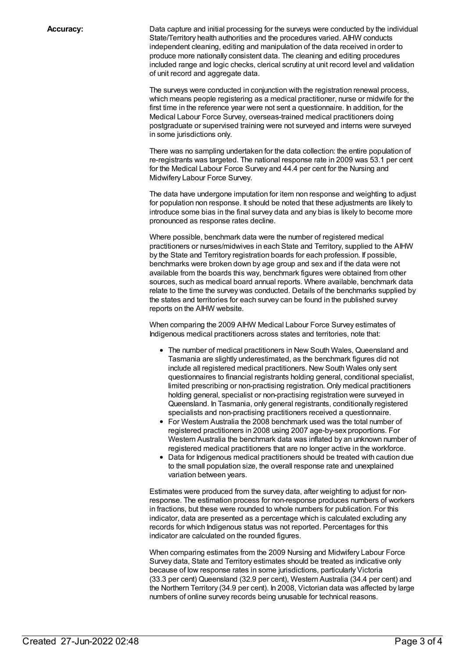**Accuracy:** Data capture and initial processing for the surveys were conducted by the individual State/Territory health authorities and the procedures varied. AIHW conducts independent cleaning, editing and manipulation of the data received in order to produce more nationally consistent data. The cleaning and editing procedures included range and logic checks, clerical scrutiny at unit record level and validation of unit record and aggregate data.

> The surveys were conducted in conjunction with the registration renewal process, which means people registering as a medical practitioner, nurse or midwife for the first time in the reference year were not sent a questionnaire. In addition, for the Medical Labour Force Survey, overseas-trained medical practitioners doing postgraduate or supervised training were not surveyed and interns were surveyed in some jurisdictions only.

> There was no sampling undertaken for the data collection: the entire population of re-registrants was targeted. The national response rate in 2009 was 53.1 per cent for the Medical Labour Force Survey and 44.4 per cent for the Nursing and Midwifery Labour Force Survey.

The data have undergone imputation for item non response and weighting to adjust for population non response. It should be noted that these adjustments are likely to introduce some bias in the final survey data and any bias is likely to become more pronounced as response rates decline.

Where possible, benchmark data were the number of registered medical practitioners or nurses/midwives in each State and Territory, supplied to the AIHW by the State and Territory registration boards for each profession. If possible, benchmarks were broken down by age group and sex and if the data were not available from the boards this way, benchmark figures were obtained from other sources, such as medical board annual reports. Where available, benchmark data relate to the time the survey was conducted. Details of the benchmarks supplied by the states and territories for each survey can be found in the published survey reports on the AIHW website.

When comparing the 2009 AIHW Medical Labour Force Survey estimates of Indigenous medical practitioners across states and territories, note that:

- The number of medical practitioners in New South Wales, Queensland and Tasmania are slightly underestimated, as the benchmark figures did not include all registered medical practitioners. New South Wales only sent questionnaires to financial registrants holding general, conditional specialist, limited prescribing or non-practising registration. Only medical practitioners holding general, specialist or non-practising registration were surveyed in Queensland. In Tasmania, only general registrants, conditionally registered specialists and non-practising practitioners received a questionnaire.
- For Western Australia the 2008 benchmark used was the total number of registered practitioners in 2008 using 2007 age-by-sex proportions. For Western Australia the benchmark data was inflated by an unknown number of registered medical practitioners that are no longer active in the workforce.
- Data for Indigenous medical practitioners should be treated with caution due to the small population size, the overall response rate and unexplained variation between years.

Estimates were produced from the survey data, after weighting to adjust for nonresponse. The estimation process for non-response produces numbers of workers in fractions, but these were rounded to whole numbers for publication. For this indicator, data are presented as a percentage which is calculated excluding any records for which Indigenous status was not reported. Percentages for this indicator are calculated on the rounded figures.

When comparing estimates from the 2009 Nursing and Midwifery Labour Force Survey data, State and Territory estimates should be treated as indicative only because of low response rates in some jurisdictions, particularly Victoria (33.3 per cent) Queensland (32.9 per cent), Western Australia (34.4 per cent) and the Northern Territory (34.9 per cent). In 2008, Victorian data was affected by large numbers of online survey records being unusable for technical reasons.